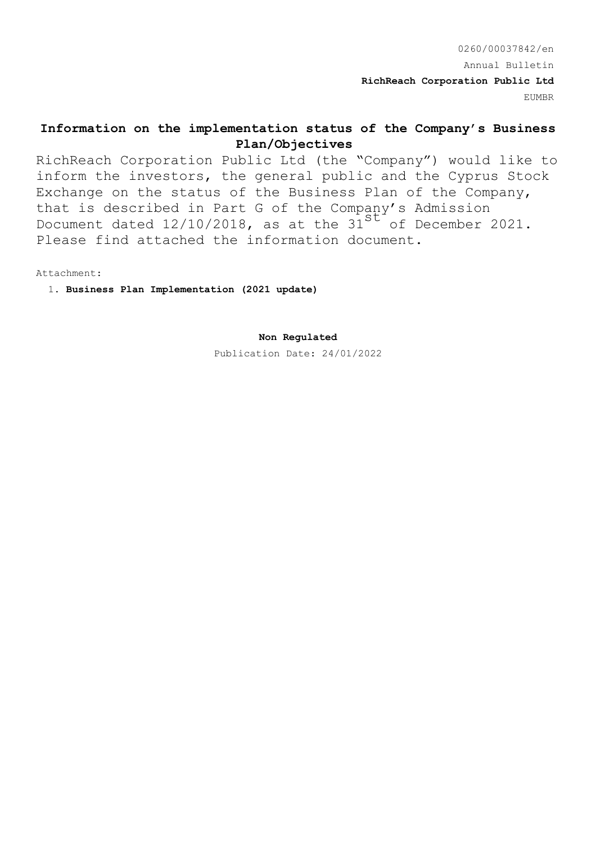0260/00037842/en Annual Bulletin **RichReach Corporation Public Ltd** EUMBR

# **Information on the implementation status of the Company's Business Plan/Objectives**

RichReach Corporation Public Ltd (the "Company") would like to inform the investors, the general public and the Cyprus Stock Exchange on the status of the Business Plan of the Company, that is described in Part G of the Company's Admission Document dated 12/10/2018, as at the 31<sup>st</sup> of December 2021. Please find attached the information document.

Attachment:

1. **Business Plan Implementation (2021 update)**

**Non Regulated**

Publication Date: 24/01/2022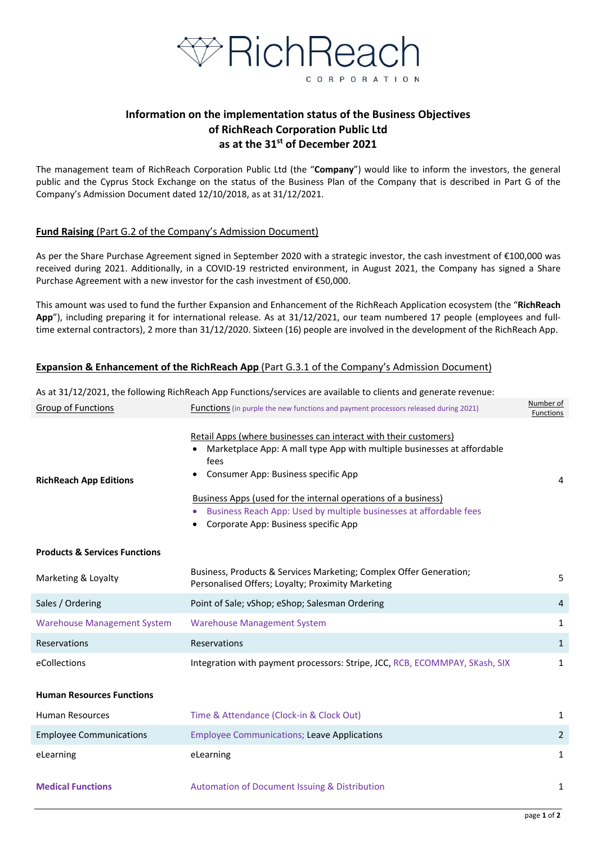

# **Information on the implementation status of the Business Objectives of RichReach Corporation Public Ltd as at the 31st of December 2021**

The management team of RichReach Corporation Public Ltd (the "**Company**") would like to inform the investors, the general public and the Cyprus Stock Exchange on the status of the Business Plan of the Company that is described in Part G of the Company's Admission Document dated 12/10/2018, as at 31/12/2021.

## **Fund Raising** (Part G.2 of the Company's Admission Document)

As per the Share Purchase Agreement signed in September 2020 with a strategic investor, the cash investment of €100,000 was received during 2021. Additionally, in a COVID-19 restricted environment, in August 2021, the Company has signed a Share Purchase Agreement with a new investor for the cash investment of  $\epsilon$ 50,000.

This amount was used to fund the further Expansion and Enhancement of the RichReach Application ecosystem (the "**RichReach**  App"), including preparing it for international release. As at 31/12/2021, our team numbered 17 people (employees and fulltime external contractors), 2 more than 31/12/2020. Sixteen (16) people are involved in the development of the RichReach App.

## **Expansion & Enhancement of the RichReach App** (Part G.3.1 of the Company's Admission Document)

As at 31/12/2021, the following RichReach App Functions/services are available to clients and generate revenue: Group of Functions **Functions** (in purple the new functions and payment processors released during 2021) Number of Functions **RichReach App Editions**  Retail Apps (where businesses can interact with their customers) Marketplace App: A mall type App with multiple businesses at affordable fees Consumer App: Business specific App Business Apps (used for the internal operations of a business) Business Reach App: Used by multiple businesses at affordable fees Corporate App: Business specific App 4 **Products & Services Functions** Marketing & Loyalty **Business, Products & Services Marketing**; Complex Offer Generation; Business, Products & Services Marketing, Complex Orier Generation, Eq. (500) 568-Sales / Ordering **Point of Sale**; vShop; eShop; Salesman Ordering **All and Sales / Ordering 4** Warehouse Management System University Management System and the University of the University of the University of the University of the University of the University of the University of the University of the University of Reservations  $\sim$  Reservations  $\sim$  1 eCollections **Integration with payment processors: Stripe, JCC, RCB, ECOMMPAY, SKash, SIX** 1 **Human Resources Functions** Human Resources Time & Attendance (Clock-in & Clock Out) 2 Employee Communications Employee Communications; Leave Applications 2 eLearning **1** and the elearning **element of the element of the element of the element of the element of the element of the element of the element of the element of the element of the element of the element of the element o Medical Functions 1 Automation of Document Issuing & Distribution 1 1**